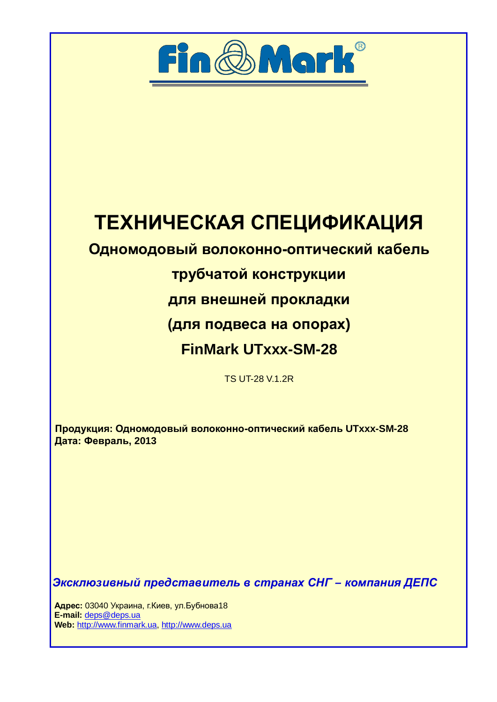

# ТЕХНИЧЕСКАЯ СПЕЦИФИКАЦИЯ

# **Одномодовый волоконно-оптический кабель**

# трубчатой конструкции

# для внешней прокладки

### **(для подвеса на опорах)**

# **FinMark UTxxx-SM-28**

### TS UT-28 V.1.2R

Продукция: Одномодовый волоконно-оптический кабель UTxxx-SM-28 **Дата: Февраль, 2013** 

Эксклюзивный представитель в странах СНГ – компания ДЕПС

**Адрес:** 03040 Украина, г. Киев, ул. Бубнова 18  **E-mail:** [deps@deps.ua](mailto:deps@deps.ua) **Web:** [http://www.finmark.ua](http://www.finmark.ua/), http:/[/www.deps.ua](http://www.deps.ua/)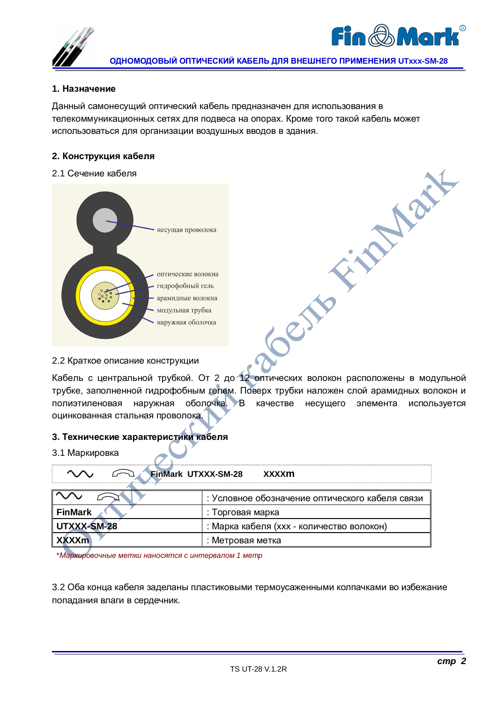



**TOWER** 

#### **1. Назначение**

Данный самонесущий оптический кабель предназначен для использования в телекоммуникационных сетях для подвеса на опорах. Кроме того такой кабель может использоваться для организации воздушных вводов в здания.

#### $2.$  Конструкция кабеля

#### 2.1 Сечение кабеля



#### 2.2 Краткое описание конструкции

Кабель с центральной трубкой. От 2 до 12 оптических волокон расположены в модульной трубке, заполненной гидрофобным гелем. Поверх трубки наложен слой арамидных волокон и полиэтиленовая наружная оболочка. В качестве несущего элемента используется оцинкованная стальная проволока.

Cents

#### 3. Технические характеристики кабеля

#### 3.1 Маркировка

| <b>FinMark UTXXX-SM-28</b><br>xxxxm |                                                 |  |  |
|-------------------------------------|-------------------------------------------------|--|--|
|                                     | : Условное обозначение оптического кабеля связи |  |  |
| <b>FinMark</b>                      | : Торговая марка                                |  |  |
| UTXXX-SM-28                         | : Марка кабеля (ххх - количество волокон)       |  |  |
| <b>XXXXm</b>                        | : Метровая метка                                |  |  |

\**Ɇɚɪɤɢɪɨɜɨɱɧɵɟɦɟɬɤɢɧɚɧɨɫɹɬɫɹɫɢɧɬɟɪɜɚɥɨɦ 1 ɦɟɬɪ*

3.2 Оба конца кабеля заделаны пластиковыми термоусаженными колпачками во избежание попадания влаги в сердечник.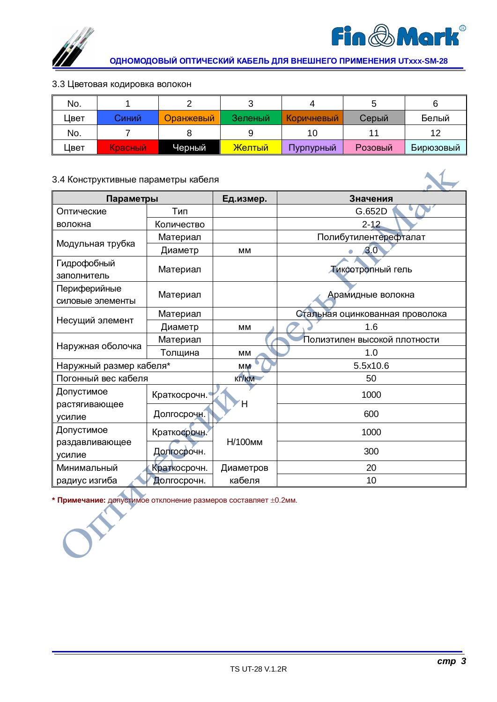

**ɈȾɇɈɆɈȾɈȼɕɃɈɉɌɂɑȿɋɄɂɃɄȺȻȿɅɖȾɅəȼɇȿɒɇȿȽɈɉɊɂɆȿɇȿɇɂə UTxxx-SM-28** 

#### 3.3 Цветовая кодировка волокон

| No.  |         |           |         |            |         |           |
|------|---------|-----------|---------|------------|---------|-----------|
| ⊥вет | Синий   | Оранжевый | Зеленый | Коричневый | Серый   | Белый     |
| No.  |         |           |         |            |         |           |
| ⊔вет | Красный | Черный    | Желтый  | Пурпурный  | Розовый | Бирюзовый |

### 3.4 Конструктивные параметры кабеля

| Параметры               |              | Ед.измер. | Значения                        |  |  |
|-------------------------|--------------|-----------|---------------------------------|--|--|
| Оптические              | Тип          |           | G.652D                          |  |  |
| волокна                 | Количество   |           | $2 - 12$                        |  |  |
|                         | Материал     |           | Полибутилентерефталат           |  |  |
| Модульная трубка        | Диаметр      | <b>MM</b> | 3.0                             |  |  |
| Гидрофобный             |              |           |                                 |  |  |
| заполнитель             | Материал     |           | Тиксотропный гель               |  |  |
| Периферийные            |              |           |                                 |  |  |
| силовые элементы        | Материал     |           | Арамидные волокна               |  |  |
|                         | Материал     |           | Стальная оцинкованная проволока |  |  |
| Несущий элемент         | Диаметр      | <b>MM</b> | 1.6                             |  |  |
|                         | Материал     |           | Полиэтилен высокой плотности    |  |  |
| Наружная оболочка       | Толщина      | MM        | 1.0                             |  |  |
| Наружный размер кабеля* |              | МM        | 5.5x10.6                        |  |  |
| Погонный вес кабеля     |              | Kr/km     | 50                              |  |  |
| Допустимое              | Краткосрочн. |           | 1000                            |  |  |
| растягивающее           |              | Ή         |                                 |  |  |
| усилие                  | Долгосрочн.  |           | 600                             |  |  |
| Допустимое              | Краткосрочн. |           | 1000                            |  |  |
| раздавливающее          |              | Н/100мм   |                                 |  |  |
| усилие                  | Долгосрочн.  |           | 300                             |  |  |
| Минимальный             | Краткосрочн. | Диаметров | 20                              |  |  |
| радиус изгиба           | Долгосрочн.  | кабеля    | 10                              |  |  |

\* Примечание: допустимое отклонение размеров составляет ±0.2мм.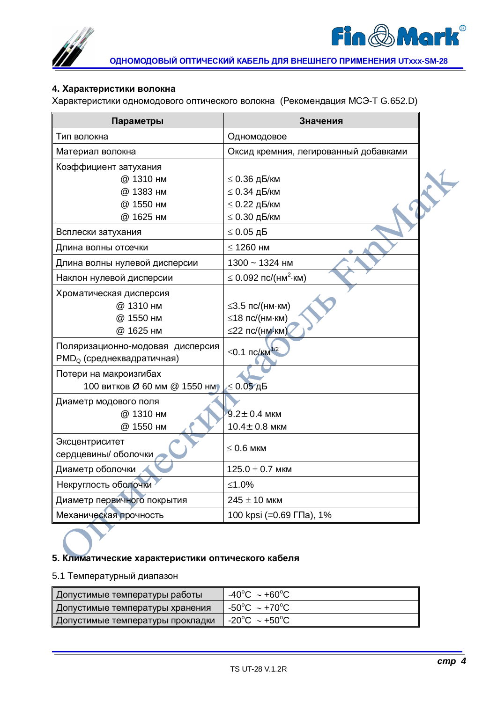



#### **4. Характеристики волокна**

Характеристики одномодового оптического волокна (Рекомендация МСЭ-Т G.652.D)

| Параметры                             | Значения                                |  |
|---------------------------------------|-----------------------------------------|--|
| Тип волокна                           | Одномодовое                             |  |
| Материал волокна                      | Оксид кремния, легированный добавками   |  |
| Коэффициент затухания                 |                                         |  |
| @ 1310 нм                             | $\leq$ 0.36 дБ/км                       |  |
| @ 1383 нм                             | $\leq$ 0.34 дБ/км                       |  |
| @ 1550 нм                             | $\leq 0.22$ дБ/км                       |  |
| @ 1625 нм                             | $\leq$ 0.30 дБ/км                       |  |
| Всплески затухания                    | $\leq 0.05$ дБ                          |  |
| Длина волны отсечки                   | $\leq$ 1260 HM                          |  |
| Длина волны нулевой дисперсии         | 1300 ~ 1324 нм                          |  |
| Наклон нулевой дисперсии              | $\leq$ 0.092 пс/(нм <sup>2</sup> ·км)   |  |
| Хроматическая дисперсия               |                                         |  |
| @ 1310 нм                             | $\leq$ 3.5 пс/(нм $\cdot$ км)           |  |
| @ 1550 нм                             | $\leq$ 18 пс/(нм $\cdot$ км)            |  |
| @ 1625 нм                             | $\leq$ 22 пс/(нм $\cdot$ км)            |  |
| Поляризационно-модовая дисперсия      | $≤0.1$ ΠC/ <sub>KM</sub> <sup>1/2</sup> |  |
| PMD <sub>Q</sub> (среднеквадратичная) |                                         |  |
| Потери на макроизгибах                |                                         |  |
| 100 витков Ø 60 мм @ 1550 нм          | $\leq 0.05$ дБ                          |  |
| Диаметр модового поля                 |                                         |  |
| @ 1310 нм                             | $9.2 \pm 0.4$ MKM                       |  |
| @ 1550 нм                             | $10.4 \pm 0.8$ мкм                      |  |
| Эксцентриситет                        |                                         |  |
| сердцевины/ оболочки                  | $\leq 0.6$ MKM                          |  |
| Диаметр оболочки                      | $125.0 \pm 0.7$ мкм                     |  |
| Некруглость оболочки                  | ≤1.0%                                   |  |
| Диаметр первичного покрытия           | $245 \pm 10$ мкм                        |  |
| Механическая прочность                | 100 kpsi (=0.69 ГПа), 1%                |  |

#### 5. Климатические характеристики оптического кабеля

#### 5.1 Температурный диапазон

| Допустимые температуры работы    | $-40^{\circ}$ C ~ +60 $^{\circ}$ C |
|----------------------------------|------------------------------------|
| Допустимые температуры хранения  | 』-50℃ ~+70℃                        |
| Допустимые температуры прокладки | $-20^{\circ}$ C ~ +50 $^{\circ}$ C |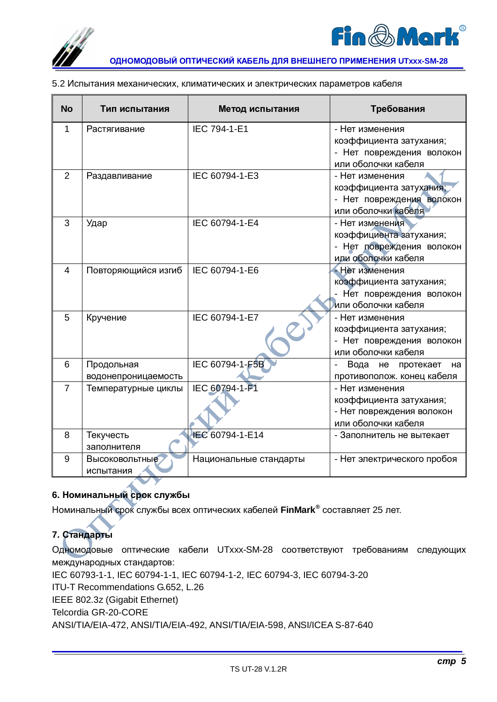



**ɈȾɇɈɆɈȾɈȼɕɃɈɉɌɂɑȿɋɄɂɃɄȺȻȿɅɖȾɅəȼɇȿɒɇȿȽɈɉɊɂɆȿɇȿɇɂə UTxxx-SM-28** 

| 5.2 Испытания механических, климатических и электрических параметров кабеля |
|-----------------------------------------------------------------------------|
|-----------------------------------------------------------------------------|

| <b>No</b>      | Тип испытания       | Метод испытания        | Требования                                                |
|----------------|---------------------|------------------------|-----------------------------------------------------------|
| 1              | Растягивание        | IEC 794-1-E1           | - Нет изменения                                           |
|                |                     |                        | коэффициента затухания;                                   |
|                |                     |                        | - Нет повреждения волокон                                 |
|                |                     |                        | или оболочки кабеля                                       |
| 2              | Раздавливание       | IEC 60794-1-E3         | - Нет изменения                                           |
|                |                     |                        | коэффициента затухания;                                   |
|                |                     |                        | - Нет повреждения волокон                                 |
|                |                     |                        | или оболочки кабеля                                       |
| 3              | Удар                | IEC 60794-1-E4         | - Нет изменения                                           |
|                |                     |                        | коэффициента затухания;                                   |
|                |                     |                        | - Нет повреждения волокон                                 |
|                |                     |                        | или оболочки кабеля                                       |
| 4              | Повторяющийся изгиб | IEC 60794-1-E6         | - Нет изменения                                           |
|                |                     |                        | коэффициента затухания;                                   |
|                |                     |                        | Нет повреждения волокон                                   |
|                |                     |                        | или оболочки кабеля                                       |
| 5              | Кручение            | IEC 60794-1-E7         | - Нет изменения                                           |
|                |                     |                        | коэффициента затухания;                                   |
|                |                     |                        | - Нет повреждения волокон                                 |
|                |                     |                        | или оболочки кабеля                                       |
| 6              | Продольная          | IEC 60794-1-F5B        | Вода<br>He<br>протекает<br>на<br>$\overline{\phantom{a}}$ |
|                | водонепроницаемость |                        | противополож. конец кабеля                                |
| $\overline{7}$ | Температурные циклы | IEC 60794-1-F1         | - Нет изменения                                           |
|                |                     |                        | коэффициента затухания;                                   |
|                |                     |                        | - Нет повреждения волокон                                 |
|                |                     |                        | или оболочки кабеля                                       |
| 8              | Текучесть           | IEC 60794-1-E14        | - Заполнитель не вытекает                                 |
|                | заполнителя         |                        |                                                           |
| 9              | Высоковольтные      | Национальные стандарты | - Нет электрического пробоя                               |
|                | испытания           |                        |                                                           |

### 6. Номинальный срок службы

Номинальный срок службы всех оптических кабелей FinMark<sup>®</sup> составляет 25 лет.

### **7. Стандарты**

Одномодовые оптические кабели UTxxx-SM-28 соответствуют требованиям следующих международных стандартов:

IEC 60793-1-1, IEC 60794-1-1, IEC 60794-1-2, IEC 60794-3, IEC 60794-3-20

ITU-T Recommendations G.652, L.26

IEEE 802.3z (Gigabit Ethernet)

Telcordia GR-20-CORE

ANSI/TIA/EIA-472, ANSI/TIA/EIA-492, ANSI/TIA/EIA-598, ANSI/ICEA S-87-640